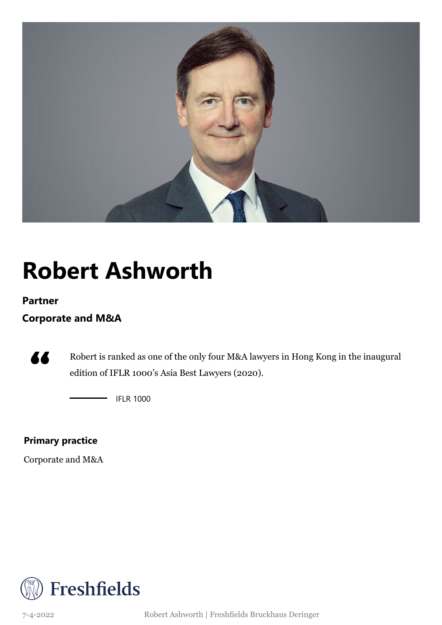

## **Robert Ashworth**

#### **Partner**

### **Corporate and M&A**



Robert is ranked as one of the only four M&A lawyers in Hong Kong in the inaugural edition of IFLR 1000's Asia Best Lawyers (2020).

 $-IFLR 1000$ 

### **Primary practice**

Corporate and M&A



7-4-2022 Robert Ashworth | Freshfields Bruckhaus Deringer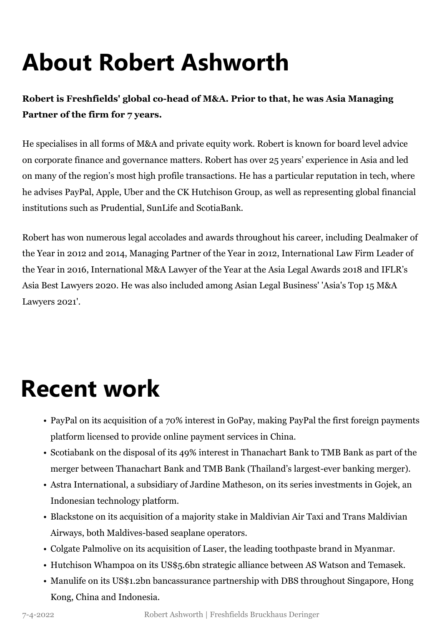# **About Robert Ashworth**

**Robert is Freshfields' global co-head of M&A. Prior to that, he was Asia Managing Partner of the firm for 7 years.**

He specialises in all forms of M&A and private equity work. Robert is known for board level advice on corporate finance and governance matters. Robert has over 25 years' experience in Asia and led on many of the region's most high profile transactions. He has a particular reputation in tech, where he advises PayPal, Apple, Uber and the CK Hutchison Group, as well as representing global financial institutions such as Prudential, SunLife and ScotiaBank.

Robert has won numerous legal accolades and awards throughout his career, including Dealmaker of the Year in 2012 and 2014, Managing Partner of the Year in 2012, International Law Firm Leader of the Year in 2016, International M&A Lawyer of the Year at the Asia Legal Awards 2018 and IFLR's Asia Best Lawyers 2020. He was also included among Asian Legal Business' 'Asia's Top 15 M&A Lawyers 2021'.

### **Recent work**

- PayPal on its acquisition of a 70% interest in GoPay, making PayPal the first foreign payments platform licensed to provide online payment services in China.
- Scotiabank on the disposal of its 49% interest in Thanachart Bank to TMB Bank as part of the merger between Thanachart Bank and TMB Bank (Thailand's largest-ever banking merger).
- Astra International, a subsidiary of Jardine Matheson, on its series investments in Gojek, an Indonesian technology platform.
- Blackstone on its acquisition of a majority stake in Maldivian Air Taxi and Trans Maldivian Airways, both Maldives-based seaplane operators.
- Colgate Palmolive on its acquisition of Laser, the leading toothpaste brand in Myanmar.
- Hutchison Whampoa on its US\$5.6bn strategic alliance between AS Watson and Temasek.
- Manulife on its US\$1.2bn bancassurance partnership with DBS throughout Singapore, Hong Kong, China and Indonesia.